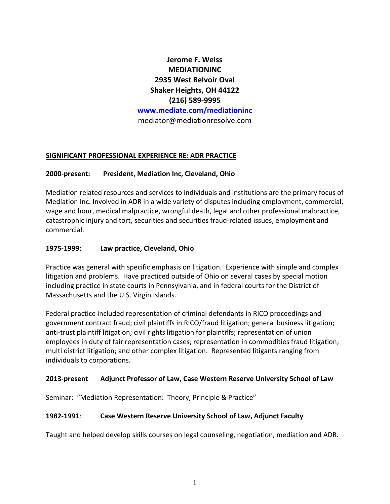# **Jerome F. Weiss MEDIATIONINC 2935 West Belvoir Oval Shaker Heights, OH 44122 (216) 589-9995 www.mediate.com/mediationinc** mediator@mediationresolve.com

# **SIGNIFICANT PROFESSIONAL EXPERIENCE RE: ADR PRACTICE**

# **2000-present: President, Mediation Inc, Cleveland, Ohio**

Mediation related resources and services to individuals and institutions are the primary focus of Mediation Inc. Involved in ADR in a wide variety of disputes including employment, commercial, wage and hour, medical malpractice, wrongful death, legal and other professional malpractice, catastrophic injury and tort, securities and securities fraud-related issues, employment and commercial.

#### **1975-1999: Law practice, Cleveland, Ohio**

Practice was general with specific emphasis on litigation. Experience with simple and complex litigation and problems. Have practiced outside of Ohio on several cases by special motion including practice in state courts in Pennsylvania, and in federal courts for the District of Massachusetts and the U.S. Virgin Islands.

Federal practice included representation of criminal defendants in RICO proceedings and government contract fraud; civil plaintiffs in RICO/fraud litigation; general business litigation; anti-trust plaintiff litigation; civil rights litigation for plaintiffs; representation of union employees in duty of fair representation cases; representation in commodities fraud litigation; multi district litigation; and other complex litigation. Represented litigants ranging from individuals to corporations.

#### **2013-present Adjunct Professor of Law, Case Western Reserve University School of Law**

Seminar: "Mediation Representation: Theory, Principle & Practice"

# **1982-1991**: **Case Western Reserve University School of Law, Adjunct Faculty**

Taught and helped develop skills courses on legal counseling, negotiation, mediation and ADR.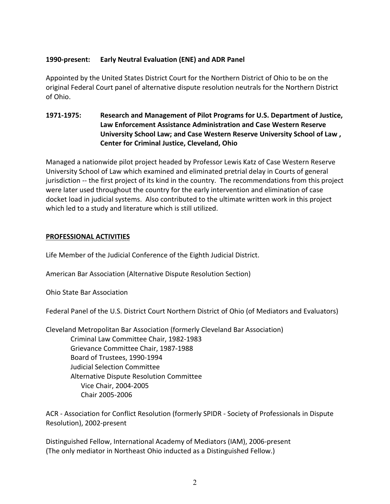# **1990-present: Early Neutral Evaluation (ENE) and ADR Panel**

Appointed by the United States District Court for the Northern District of Ohio to be on the original Federal Court panel of alternative dispute resolution neutrals for the Northern District of Ohio.

# **1971-1975: Research and Management of Pilot Programs for U.S. Department of Justice, Law Enforcement Assistance Administration and Case Western Reserve University School Law; and Case Western Reserve University School of Law , Center for Criminal Justice, Cleveland, Ohio**

Managed a nationwide pilot project headed by Professor Lewis Katz of Case Western Reserve University School of Law which examined and eliminated pretrial delay in Courts of general jurisdiction -- the first project of its kind in the country. The recommendations from this project were later used throughout the country for the early intervention and elimination of case docket load in judicial systems. Also contributed to the ultimate written work in this project which led to a study and literature which is still utilized.

# **PROFESSIONAL ACTIVITIES**

Life Member of the Judicial Conference of the Eighth Judicial District.

American Bar Association (Alternative Dispute Resolution Section)

Ohio State Bar Association

Federal Panel of the U.S. District Court Northern District of Ohio (of Mediators and Evaluators)

Cleveland Metropolitan Bar Association (formerly Cleveland Bar Association) Criminal Law Committee Chair, 1982-1983 Grievance Committee Chair, 1987-1988 Board of Trustees, 1990-1994 Judicial Selection Committee Alternative Dispute Resolution Committee Vice Chair, 2004-2005 Chair 2005-2006

ACR - Association for Conflict Resolution (formerly SPIDR - Society of Professionals in Dispute Resolution), 2002-present

Distinguished Fellow, International Academy of Mediators (IAM), 2006-present (The only mediator in Northeast Ohio inducted as a Distinguished Fellow.)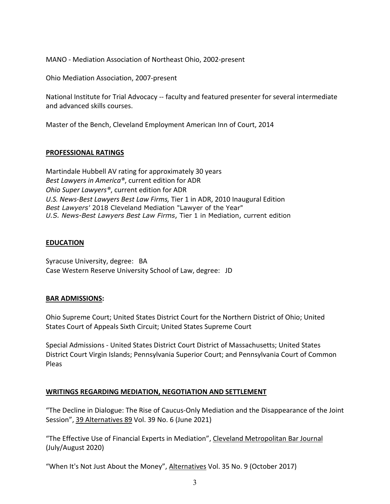MANO - Mediation Association of Northeast Ohio, 2002-present

Ohio Mediation Association, 2007-present

National Institute for Trial Advocacy -- faculty and featured presenter for several intermediate and advanced skills courses.

Master of the Bench, Cleveland Employment American Inn of Court, 2014

#### **PROFESSIONAL RATINGS**

Martindale Hubbell AV rating for approximately 30 years *Best Lawyers in America®*, current edition for ADR *Ohio Super Lawyers®*, current edition for ADR *U.S. News-Best Lawyers Best Law Firms,* Tier 1 in ADR, 2010 Inaugural Edition *Best Lawyers'* 2018 Cleveland Mediation "Lawyer of the Year" *U.S. News-Best Lawyers Best Law Firms*, Tier 1 in Mediation, current edition

# **EDUCATION**

Syracuse University, degree: BA Case Western Reserve University School of Law, degree: JD

# **BAR ADMISSIONS:**

Ohio Supreme Court; United States District Court for the Northern District of Ohio; United States Court of Appeals Sixth Circuit; United States Supreme Court

Special Admissions - United States District Court District of Massachusetts; United States District Court Virgin Islands; Pennsylvania Superior Court; and Pennsylvania Court of Common Pleas

# **WRITINGS REGARDING MEDIATION, NEGOTIATION AND SETTLEMENT**

"The Decline in Dialogue: The Rise of Caucus-Only Mediation and the Disappearance of the Joint Session", 39 Alternatives 89 Vol. 39 No. 6 (June 2021)

"The Effective Use of Financial Experts in Mediation", Cleveland Metropolitan Bar Journal (July/August 2020)

"When It's Not Just About the Money", Alternatives Vol. 35 No. 9 (October 2017)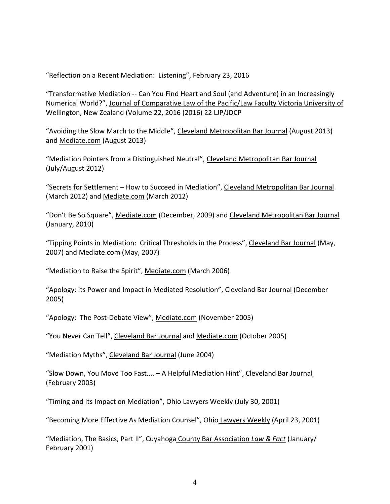"Reflection on a Recent Mediation: Listening", February 23, 2016

"Transformative Mediation -- Can You Find Heart and Soul (and Adventure) in an Increasingly Numerical World?", Journal of Comparative Law of the Pacific/Law Faculty Victoria University of Wellington, New Zealand (Volume 22, 2016 (2016) 22 LJP/JDCP

"Avoiding the Slow March to the Middle", Cleveland Metropolitan Bar Journal (August 2013) and Mediate.com (August 2013)

"Mediation Pointers from a Distinguished Neutral", Cleveland Metropolitan Bar Journal (July/August 2012)

"Secrets for Settlement – How to Succeed in Mediation", Cleveland Metropolitan Bar Journal (March 2012) and Mediate.com (March 2012)

"Don't Be So Square", Mediate.com (December, 2009) and Cleveland Metropolitan Bar Journal (January, 2010)

"Tipping Points in Mediation: Critical Thresholds in the Process", Cleveland Bar Journal (May, 2007) and Mediate.com (May, 2007)

"Mediation to Raise the Spirit", Mediate.com (March 2006)

"Apology: Its Power and Impact in Mediated Resolution", Cleveland Bar Journal (December 2005)

"Apology: The Post-Debate View", Mediate.com (November 2005)

"You Never Can Tell", Cleveland Bar Journal and Mediate.com (October 2005)

"Mediation Myths", Cleveland Bar Journal (June 2004)

"Slow Down, You Move Too Fast.... - A Helpful Mediation Hint", Cleveland Bar Journal (February 2003)

"Timing and Its Impact on Mediation", Ohio Lawyers Weekly (July 30, 2001)

"Becoming More Effective As Mediation Counsel", Ohio Lawyers Weekly (April 23, 2001)

"Mediation, The Basics, Part II", Cuyahoga County Bar Association *Law & Fact* (January/ February 2001)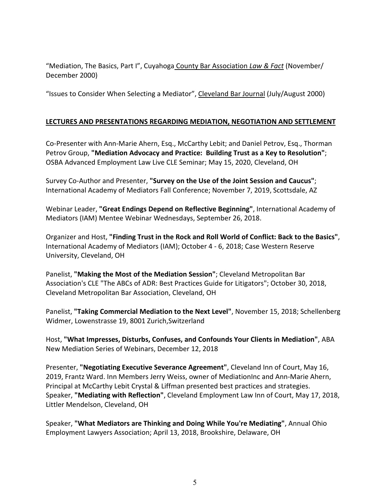"Mediation, The Basics, Part I", Cuyahoga County Bar Association *Law & Fact* (November/ December 2000)

"Issues to Consider When Selecting a Mediator", Cleveland Bar Journal (July/August 2000)

# **LECTURES AND PRESENTATIONS REGARDING MEDIATION, NEGOTIATION AND SETTLEMENT**

Co-Presenter with Ann-Marie Ahern, Esq., McCarthy Lebit; and Daniel Petrov, Esq., Thorman Petrov Group, **"Mediation Advocacy and Practice: Building Trust as a Key to Resolution"**; OSBA Advanced Employment Law Live CLE Seminar; May 15, 2020, Cleveland, OH

Survey Co-Author and Presenter, **"Survey on the Use of the Joint Session and Caucus"**; International Academy of Mediators Fall Conference; November 7, 2019, Scottsdale, AZ

Webinar Leader, **"Great Endings Depend on Reflective Beginning"**, International Academy of Mediators (IAM) Mentee Webinar Wednesdays, September 26, 2018.

Organizer and Host, **"Finding Trust in the Rock and Roll World of Conflict: Back to the Basics"**, International Academy of Mediators (IAM); October 4 - 6, 2018; Case Western Reserve University, Cleveland, OH

Panelist, **"Making the Most of the Mediation Session"**; Cleveland Metropolitan Bar Association's CLE "The ABCs of ADR: Best Practices Guide for Litigators"; October 30, 2018, Cleveland Metropolitan Bar Association, Cleveland, OH

Panelist, **"Taking Commercial Mediation to the Next Level"**, November 15, 2018; Schellenberg Widmer, Lowenstrasse 19, 8001 Zurich,Switzerland

Host, **"What Impresses, Disturbs, Confuses, and Confounds Your Clients in Mediation"**, ABA New Mediation Series of Webinars, December 12, 2018

Presenter, **"Negotiating Executive Severance Agreement"**, Cleveland Inn of Court, May 16, 2019, Frantz Ward. Inn Members Jerry Weiss, owner of MediationInc and Ann-Marie Ahern, Principal at McCarthy Lebit Crystal & Liffman presented best practices and strategies. Speaker, **"Mediating with Reflection"**, Cleveland Employment Law Inn of Court, May 17, 2018, Littler Mendelson, Cleveland, OH

Speaker, **"What Mediators are Thinking and Doing While You're Mediating"**, Annual Ohio Employment Lawyers Association; April 13, 2018, Brookshire, Delaware, OH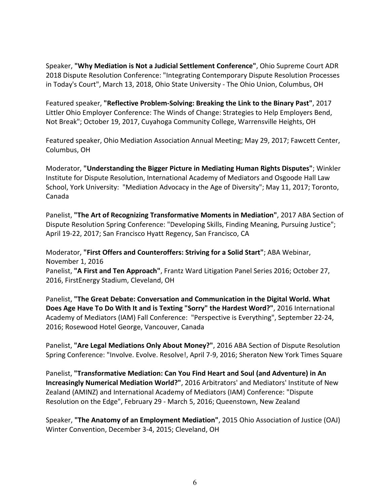Speaker, **"Why Mediation is Not a Judicial Settlement Conference"**, Ohio Supreme Court ADR 2018 Dispute Resolution Conference: "Integrating Contemporary Dispute Resolution Processes in Today's Court", March 13, 2018, Ohio State University - The Ohio Union, Columbus, OH

Featured speaker, **"Reflective Problem-Solving: Breaking the Link to the Binary Past"**, 2017 Littler Ohio Employer Conference: The Winds of Change: Strategies to Help Employers Bend, Not Break"; October 19, 2017, Cuyahoga Community College, Warrensville Heights, OH

Featured speaker, Ohio Mediation Association Annual Meeting; May 29, 2017; Fawcett Center, Columbus, OH

Moderator, **"Understanding the Bigger Picture in Mediating Human Rights Disputes"**; Winkler Institute for Dispute Resolution, International Academy of Mediators and Osgoode Hall Law School, York University: "Mediation Advocacy in the Age of Diversity"; May 11, 2017; Toronto, Canada

Panelist, **"The Art of Recognizing Transformative Moments in Mediation"**, 2017 ABA Section of Dispute Resolution Spring Conference: "Developing Skills, Finding Meaning, Pursuing Justice"; April 19-22, 2017; San Francisco Hyatt Regency, San Francisco, CA

Moderator, **"First Offers and Counteroffers: Striving for a Solid Start"**; ABA Webinar, November 1, 2016

Panelist, **"A First and Ten Approach"**, Frantz Ward Litigation Panel Series 2016; October 27, 2016, FirstEnergy Stadium, Cleveland, OH

Panelist, **"The Great Debate: Conversation and Communication in the Digital World. What Does Age Have To Do With It and is Texting "Sorry" the Hardest Word?"**, 2016 International Academy of Mediators (IAM) Fall Conference: "Perspective is Everything", September 22-24, 2016; Rosewood Hotel George, Vancouver, Canada

Panelist, **"Are Legal Mediations Only About Money?"**, 2016 ABA Section of Dispute Resolution Spring Conference: "Involve. Evolve. Resolve!, April 7-9, 2016; Sheraton New York Times Square

Panelist, **"Transformative Mediation: Can You Find Heart and Soul (and Adventure) in An Increasingly Numerical Mediation World?"**, 2016 Arbitrators' and Mediators' Institute of New Zealand (AMINZ) and International Academy of Mediators (IAM) Conference: "Dispute Resolution on the Edge", February 29 - March 5, 2016; Queenstown, New Zealand

Speaker, **"The Anatomy of an Employment Mediation"**, 2015 Ohio Association of Justice (OAJ) Winter Convention, December 3-4, 2015; Cleveland, OH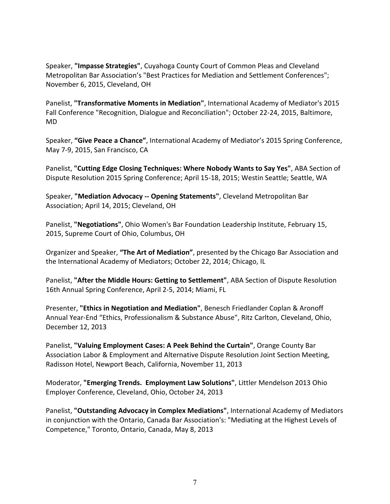Speaker, **"Impasse Strategies"**, Cuyahoga County Court of Common Pleas and Cleveland Metropolitan Bar Association's "Best Practices for Mediation and Settlement Conferences"; November 6, 2015, Cleveland, OH

Panelist, **"Transformative Moments in Mediation"**, International Academy of Mediator's 2015 Fall Conference "Recognition, Dialogue and Reconciliation"; October 22-24, 2015, Baltimore, MD

Speaker, **"Give Peace a Chance"**, International Academy of Mediator's 2015 Spring Conference, May 7-9, 2015, San Francisco, CA

Panelist, **"Cutting Edge Closing Techniques: Where Nobody Wants to Say Yes"**, ABA Section of Dispute Resolution 2015 Spring Conference; April 15-18, 2015; Westin Seattle; Seattle, WA

Speaker, **"Mediation Advocacy -- Opening Statements"**, Cleveland Metropolitan Bar Association; April 14, 2015; Cleveland, OH

Panelist, **"Negotiations"**, Ohio Women's Bar Foundation Leadership Institute, February 15, 2015, Supreme Court of Ohio, Columbus, OH

Organizer and Speaker, **"The Art of Mediation"**, presented by the Chicago Bar Association and the International Academy of Mediators; October 22, 2014; Chicago, IL

Panelist, **"After the Middle Hours: Getting to Settlement"**, ABA Section of Dispute Resolution 16th Annual Spring Conference, April 2-5, 2014; Miami, FL

Presenter, **"Ethics in Negotiation and Mediation"**, Benesch Friedlander Coplan & Aronoff Annual Year-End "Ethics, Professionalism & Substance Abuse", Ritz Carlton, Cleveland, Ohio, December 12, 2013

Panelist, **"Valuing Employment Cases: A Peek Behind the Curtain"**, Orange County Bar Association Labor & Employment and Alternative Dispute Resolution Joint Section Meeting, Radisson Hotel, Newport Beach, California, November 11, 2013

Moderator, **"Emerging Trends. Employment Law Solutions"**, Littler Mendelson 2013 Ohio Employer Conference, Cleveland, Ohio, October 24, 2013

Panelist, **"Outstanding Advocacy in Complex Mediations"**, International Academy of Mediators in conjunction with the Ontario, Canada Bar Association's: "Mediating at the Highest Levels of Competence," Toronto, Ontario, Canada, May 8, 2013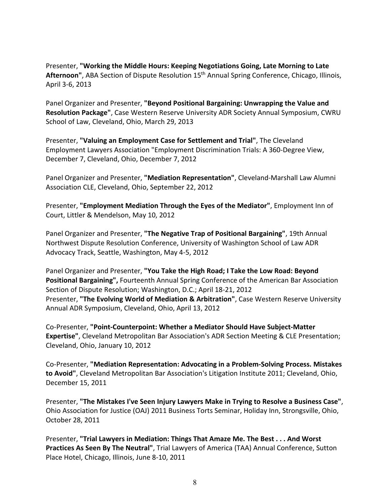Presenter, **"Working the Middle Hours: Keeping Negotiations Going, Late Morning to Late Afternoon"**, ABA Section of Dispute Resolution 15th Annual Spring Conference, Chicago, Illinois, April 3-6, 2013

Panel Organizer and Presenter, **"Beyond Positional Bargaining: Unwrapping the Value and Resolution Package"**, Case Western Reserve University ADR Society Annual Symposium, CWRU School of Law, Cleveland, Ohio, March 29, 2013

Presenter, **"Valuing an Employment Case for Settlement and Trial"**, The Cleveland Employment Lawyers Association "Employment Discrimination Trials: A 360-Degree View, December 7, Cleveland, Ohio, December 7, 2012

Panel Organizer and Presenter, **"Mediation Representation"**, Cleveland-Marshall Law Alumni Association CLE, Cleveland, Ohio, September 22, 2012

Presenter, **"Employment Mediation Through the Eyes of the Mediator"**, Employment Inn of Court, Littler & Mendelson, May 10, 2012

Panel Organizer and Presenter, **"The Negative Trap of Positional Bargaining"**, 19th Annual Northwest Dispute Resolution Conference, University of Washington School of Law ADR Advocacy Track, Seattle, Washington, May 4-5, 2012

Panel Organizer and Presenter, **"You Take the High Road; I Take the Low Road: Beyond Positional Bargaining",** Fourteenth Annual Spring Conference of the American Bar Association Section of Dispute Resolution; Washington, D.C.; April 18-21, 2012 Presenter, **"The Evolving World of Mediation & Arbitration"**, Case Western Reserve University Annual ADR Symposium, Cleveland, Ohio, April 13, 2012

Co-Presenter, **"Point-Counterpoint: Whether a Mediator Should Have Subject-Matter Expertise"**, Cleveland Metropolitan Bar Association's ADR Section Meeting & CLE Presentation; Cleveland, Ohio, January 10, 2012

Co-Presenter, **"Mediation Representation: Advocating in a Problem-Solving Process. Mistakes to Avoid"**, Cleveland Metropolitan Bar Association's Litigation Institute 2011; Cleveland, Ohio, December 15, 2011

Presenter, **"The Mistakes I've Seen Injury Lawyers Make in Trying to Resolve a Business Case"**, Ohio Association for Justice (OAJ) 2011 Business Torts Seminar, Holiday Inn, Strongsville, Ohio, October 28, 2011

Presenter, **"Trial Lawyers in Mediation: Things That Amaze Me. The Best . . . And Worst Practices As Seen By The Neutral"**, Trial Lawyers of America (TAA) Annual Conference, Sutton Place Hotel, Chicago, Illinois, June 8-10, 2011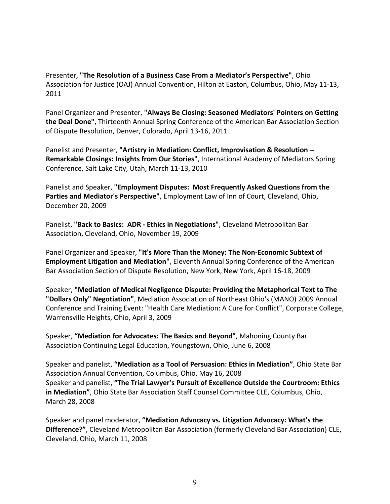Presenter, **"The Resolution of a Business Case From a Mediator's Perspective"**, Ohio Association for Justice (OAJ) Annual Convention, Hilton at Easton, Columbus, Ohio, May 11-13, 2011

Panel Organizer and Presenter, **"Always Be Closing: Seasoned Mediators' Pointers on Getting the Deal Done"**, Thirteenth Annual Spring Conference of the American Bar Association Section of Dispute Resolution, Denver, Colorado, April 13-16, 2011

Panelist and Presenter, **"Artistry in Mediation: Conflict, Improvisation & Resolution -- Remarkable Closings: Insights from Our Stories"**, International Academy of Mediators Spring Conference, Salt Lake City, Utah, March 11-13, 2010

Panelist and Speaker, **"Employment Disputes: Most Frequently Asked Questions from the Parties and Mediator's Perspective"**, Employment Law of Inn of Court, Cleveland, Ohio, December 20, 2009

Panelist, **"Back to Basics: ADR - Ethics in Negotiations"**, Cleveland Metropolitan Bar Association, Cleveland, Ohio, November 19, 2009

Panel Organizer and Speaker, **"It's More Than the Money: The Non-Economic Subtext of Employment Litigation and Mediation"**, Eleventh Annual Spring Conference of the American Bar Association Section of Dispute Resolution, New York, New York, April 16-18, 2009

Speaker, **"Mediation of Medical Negligence Dispute: Providing the Metaphorical Text to The "Dollars Only" Negotiation"**, Mediation Association of Northeast Ohio's (MANO) 2009 Annual Conference and Training Event: "Health Care Mediation: A Cure for Conflict", Corporate College, Warrensville Heights, Ohio, April 3, 2009

Speaker, **"Mediation for Advocates: The Basics and Beyond"**, Mahoning County Bar Association Continuing Legal Education, Youngstown, Ohio, June 6, 2008

Speaker and panelist, **"Mediation as a Tool of Persuasion: Ethics in Mediation"**, Ohio State Bar Association Annual Convention, Columbus, Ohio, May 16, 2008 Speaker and panelist, **"The Trial Lawyer's Pursuit of Excellence Outside the Courtroom: Ethics in Mediation"**, Ohio State Bar Association Staff Counsel Committee CLE, Columbus, Ohio, March 28, 2008

Speaker and panel moderator, **"Mediation Advocacy vs. Litigation Advocacy: What's the Difference?"**, Cleveland Metropolitan Bar Association (formerly Cleveland Bar Association) CLE, Cleveland, Ohio, March 11, 2008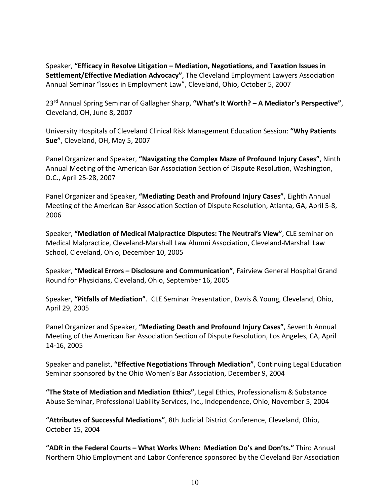Speaker, **"Efficacy in Resolve Litigation – Mediation, Negotiations, and Taxation Issues in Settlement/Effective Mediation Advocacy"**, The Cleveland Employment Lawyers Association Annual Seminar "Issues in Employment Law", Cleveland, Ohio, October 5, 2007

23rd Annual Spring Seminar of Gallagher Sharp, **"What's It Worth? – A Mediator's Perspective"**, Cleveland, OH, June 8, 2007

University Hospitals of Cleveland Clinical Risk Management Education Session: **"Why Patients Sue"**, Cleveland, OH, May 5, 2007

Panel Organizer and Speaker, **"Navigating the Complex Maze of Profound Injury Cases"**, Ninth Annual Meeting of the American Bar Association Section of Dispute Resolution, Washington, D.C., April 25-28, 2007

Panel Organizer and Speaker, **"Mediating Death and Profound Injury Cases"**, Eighth Annual Meeting of the American Bar Association Section of Dispute Resolution, Atlanta, GA, April 5-8, 2006

Speaker, **"Mediation of Medical Malpractice Disputes: The Neutral's View"**, CLE seminar on Medical Malpractice, Cleveland-Marshall Law Alumni Association, Cleveland-Marshall Law School, Cleveland, Ohio, December 10, 2005

Speaker, **"Medical Errors – Disclosure and Communication"**, Fairview General Hospital Grand Round for Physicians, Cleveland, Ohio, September 16, 2005

Speaker, **"Pitfalls of Mediation"**. CLE Seminar Presentation, Davis & Young, Cleveland, Ohio, April 29, 2005

Panel Organizer and Speaker, **"Mediating Death and Profound Injury Cases"**, Seventh Annual Meeting of the American Bar Association Section of Dispute Resolution, Los Angeles, CA, April 14-16, 2005

Speaker and panelist, **"Effective Negotiations Through Mediation"**, Continuing Legal Education Seminar sponsored by the Ohio Women's Bar Association, December 9, 2004

**"The State of Mediation and Mediation Ethics"**, Legal Ethics, Professionalism & Substance Abuse Seminar, Professional Liability Services, Inc., Independence, Ohio, November 5, 2004

**"Attributes of Successful Mediations"**, 8th Judicial District Conference, Cleveland, Ohio, October 15, 2004

**"ADR in the Federal Courts – What Works When: Mediation Do's and Don'ts."** Third Annual Northern Ohio Employment and Labor Conference sponsored by the Cleveland Bar Association